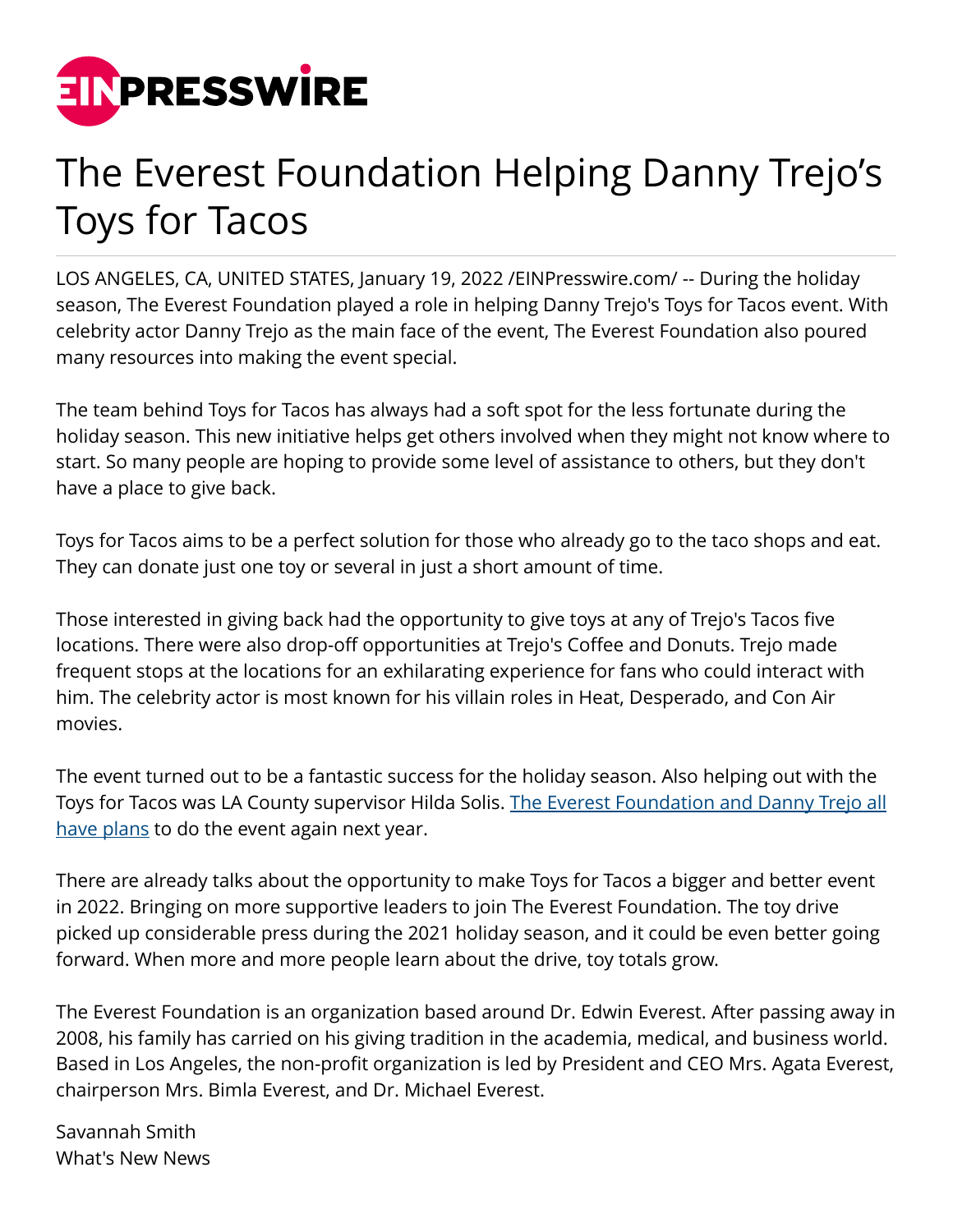

## The Everest Foundation Helping Danny Trejo's Toys for Tacos

LOS ANGELES, CA, UNITED STATES, January 19, 2022 [/EINPresswire.com](http://www.einpresswire.com)/ -- During the holiday season, The Everest Foundation played a role in helping Danny Trejo's Toys for Tacos event. With celebrity actor Danny Trejo as the main face of the event, The Everest Foundation also poured many resources into making the event special.

The team behind Toys for Tacos has always had a soft spot for the less fortunate during the holiday season. This new initiative helps get others involved when they might not know where to start. So many people are hoping to provide some level of assistance to others, but they don't have a place to give back.

Toys for Tacos aims to be a perfect solution for those who already go to the taco shops and eat. They can donate just one toy or several in just a short amount of time.

Those interested in giving back had the opportunity to give toys at any of Trejo's Tacos five locations. There were also drop-off opportunities at Trejo's Coffee and Donuts. Trejo made frequent stops at the locations for an exhilarating experience for fans who could interact with him. The celebrity actor is most known for his villain roles in Heat, Desperado, and Con Air movies.

The event turned out to be a fantastic success for the holiday season. Also helping out with the Toys for Tacos was LA County supervisor Hilda Solis. [The Everest Foundation and Danny Trejo all](https://techilive.in/the-everest-foundation-assisting-in-research-with-schools-of-medicine/) [have plans](https://techilive.in/the-everest-foundation-assisting-in-research-with-schools-of-medicine/) to do the event again next year.

There are already talks about the opportunity to make Toys for Tacos a bigger and better event in 2022. Bringing on more supportive leaders to join The Everest Foundation. The toy drive picked up considerable press during the 2021 holiday season, and it could be even better going forward. When more and more people learn about the drive, toy totals grow.

The Everest Foundation is an organization based around Dr. Edwin Everest. After passing away in 2008, his family has carried on his giving tradition in the academia, medical, and business world. Based in Los Angeles, the non-profit organization is led by President and CEO Mrs. Agata Everest, chairperson Mrs. Bimla Everest, and Dr. Michael Everest.

Savannah Smith What's New News